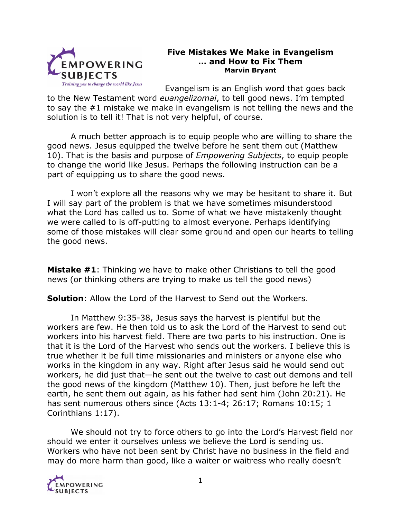

## **Five Mistakes We Make in Evangelism … and How to Fix Them Marvin Bryant**

Evangelism is an English word that goes back

to the New Testament word *euangelizomai*, to tell good news. I'm tempted to say the #1 mistake we make in evangelism is not telling the news and the solution is to tell it! That is not very helpful, of course.

A much better approach is to equip people who are willing to share the good news. Jesus equipped the twelve before he sent them out (Matthew 10). That is the basis and purpose of *Empowering Subjects*, to equip people to change the world like Jesus. Perhaps the following instruction can be a part of equipping us to share the good news.

I won't explore all the reasons why we may be hesitant to share it. But I will say part of the problem is that we have sometimes misunderstood what the Lord has called us to. Some of what we have mistakenly thought we were called to is off-putting to almost everyone. Perhaps identifying some of those mistakes will clear some ground and open our hearts to telling the good news.

**Mistake #1**: Thinking we have to make other Christians to tell the good news (or thinking others are trying to make us tell the good news)

**Solution**: Allow the Lord of the Harvest to Send out the Workers.

In Matthew 9:35-38, Jesus says the harvest is plentiful but the workers are few. He then told us to ask the Lord of the Harvest to send out workers into his harvest field. There are two parts to his instruction. One is that it is the Lord of the Harvest who sends out the workers. I believe this is true whether it be full time missionaries and ministers or anyone else who works in the kingdom in any way. Right after Jesus said he would send out workers, he did just that—he sent out the twelve to cast out demons and tell the good news of the kingdom (Matthew 10). Then, just before he left the earth, he sent them out again, as his father had sent him (John 20:21). He has sent numerous others since (Acts 13:1-4; 26:17; Romans 10:15; 1 Corinthians 1:17).

We should not try to force others to go into the Lord's Harvest field nor should we enter it ourselves unless we believe the Lord is sending us. Workers who have not been sent by Christ have no business in the field and may do more harm than good, like a waiter or waitress who really doesn't

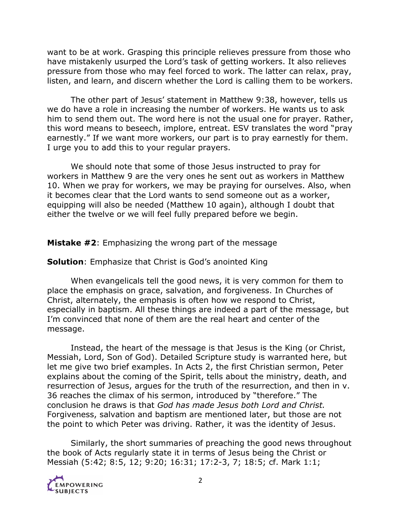want to be at work. Grasping this principle relieves pressure from those who have mistakenly usurped the Lord's task of getting workers. It also relieves pressure from those who may feel forced to work. The latter can relax, pray, listen, and learn, and discern whether the Lord is calling them to be workers.

The other part of Jesus' statement in Matthew 9:38, however, tells us we do have a role in increasing the number of workers. He wants us to ask him to send them out. The word here is not the usual one for prayer. Rather, this word means to beseech, implore, entreat. ESV translates the word "pray earnestly." If we want more workers, our part is to pray earnestly for them. I urge you to add this to your regular prayers.

We should note that some of those Jesus instructed to pray for workers in Matthew 9 are the very ones he sent out as workers in Matthew 10. When we pray for workers, we may be praying for ourselves. Also, when it becomes clear that the Lord wants to send someone out as a worker, equipping will also be needed (Matthew 10 again), although I doubt that either the twelve or we will feel fully prepared before we begin.

**Mistake #2**: Emphasizing the wrong part of the message

**Solution**: Emphasize that Christ is God's anointed King

When evangelicals tell the good news, it is very common for them to place the emphasis on grace, salvation, and forgiveness. In Churches of Christ, alternately, the emphasis is often how we respond to Christ, especially in baptism. All these things are indeed a part of the message, but I'm convinced that none of them are the real heart and center of the message.

Instead, the heart of the message is that Jesus is the King (or Christ, Messiah, Lord, Son of God). Detailed Scripture study is warranted here, but let me give two brief examples. In Acts 2, the first Christian sermon, Peter explains about the coming of the Spirit, tells about the ministry, death, and resurrection of Jesus, argues for the truth of the resurrection, and then in v. 36 reaches the climax of his sermon, introduced by "therefore." The conclusion he draws is that *God has made Jesus both Lord and Christ.* Forgiveness, salvation and baptism are mentioned later, but those are not the point to which Peter was driving. Rather, it was the identity of Jesus.

Similarly, the short summaries of preaching the good news throughout the book of Acts regularly state it in terms of Jesus being the Christ or Messiah (5:42; 8:5, 12; 9:20; 16:31; 17:2-3, 7; 18:5; cf. Mark 1:1;

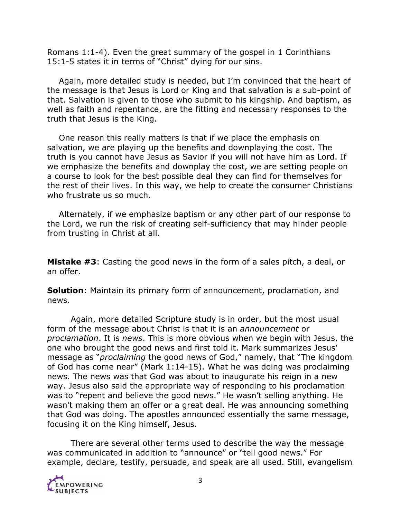Romans 1:1-4). Even the great summary of the gospel in 1 Corinthians 15:1-5 states it in terms of "Christ" dying for our sins.

Again, more detailed study is needed, but I'm convinced that the heart of the message is that Jesus is Lord or King and that salvation is a sub-point of that. Salvation is given to those who submit to his kingship. And baptism, as well as faith and repentance, are the fitting and necessary responses to the truth that Jesus is the King.

One reason this really matters is that if we place the emphasis on salvation, we are playing up the benefits and downplaying the cost. The truth is you cannot have Jesus as Savior if you will not have him as Lord. If we emphasize the benefits and downplay the cost, we are setting people on a course to look for the best possible deal they can find for themselves for the rest of their lives. In this way, we help to create the consumer Christians who frustrate us so much.

Alternately, if we emphasize baptism or any other part of our response to the Lord, we run the risk of creating self-sufficiency that may hinder people from trusting in Christ at all.

**Mistake #3**: Casting the good news in the form of a sales pitch, a deal, or an offer.

**Solution**: Maintain its primary form of announcement, proclamation, and news.

Again, more detailed Scripture study is in order, but the most usual form of the message about Christ is that it is an *announcement* or *proclamation*. It is *news*. This is more obvious when we begin with Jesus, the one who brought the good news and first told it. Mark summarizes Jesus' message as "*proclaiming* the good news of God," namely, that "The kingdom of God has come near" (Mark 1:14-15). What he was doing was proclaiming news. The news was that God was about to inaugurate his reign in a new way. Jesus also said the appropriate way of responding to his proclamation was to "repent and believe the good news." He wasn't selling anything. He wasn't making them an offer or a great deal. He was announcing something that God was doing. The apostles announced essentially the same message, focusing it on the King himself, Jesus.

There are several other terms used to describe the way the message was communicated in addition to "announce" or "tell good news." For example, declare, testify, persuade, and speak are all used. Still, evangelism

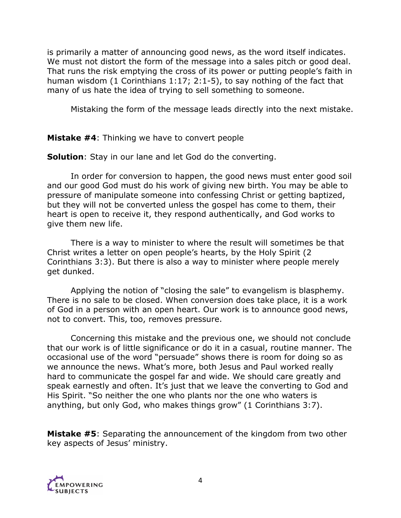is primarily a matter of announcing good news, as the word itself indicates. We must not distort the form of the message into a sales pitch or good deal. That runs the risk emptying the cross of its power or putting people's faith in human wisdom (1 Corinthians 1:17; 2:1-5), to say nothing of the fact that many of us hate the idea of trying to sell something to someone.

Mistaking the form of the message leads directly into the next mistake.

**Mistake #4**: Thinking we have to convert people

**Solution**: Stay in our lane and let God do the converting.

In order for conversion to happen, the good news must enter good soil and our good God must do his work of giving new birth. You may be able to pressure of manipulate someone into confessing Christ or getting baptized, but they will not be converted unless the gospel has come to them, their heart is open to receive it, they respond authentically, and God works to give them new life.

There is a way to minister to where the result will sometimes be that Christ writes a letter on open people's hearts, by the Holy Spirit (2 Corinthians 3:3). But there is also a way to minister where people merely get dunked.

Applying the notion of "closing the sale" to evangelism is blasphemy. There is no sale to be closed. When conversion does take place, it is a work of God in a person with an open heart. Our work is to announce good news, not to convert. This, too, removes pressure.

Concerning this mistake and the previous one, we should not conclude that our work is of little significance or do it in a casual, routine manner. The occasional use of the word "persuade" shows there is room for doing so as we announce the news. What's more, both Jesus and Paul worked really hard to communicate the gospel far and wide. We should care greatly and speak earnestly and often. It's just that we leave the converting to God and His Spirit. "So neither the one who plants nor the one who waters is anything, but only God, who makes things grow" (1 Corinthians 3:7).

**Mistake #5**: Separating the announcement of the kingdom from two other key aspects of Jesus' ministry.